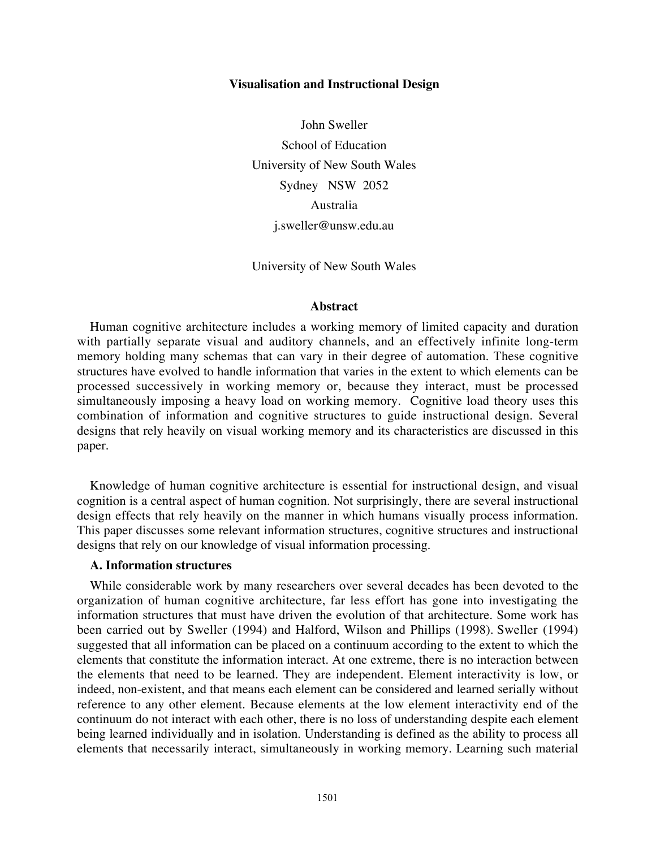#### **Visualisation and Instructional Design**

John Sweller School of Education University of New South Wales Sydney NSW 2052 Australia j.sweller@unsw.edu.au

University of New South Wales

### **Abstract**

Human cognitive architecture includes a working memory of limited capacity and duration with partially separate visual and auditory channels, and an effectively infinite long-term memory holding many schemas that can vary in their degree of automation. These cognitive structures have evolved to handle information that varies in the extent to which elements can be processed successively in working memory or, because they interact, must be processed simultaneously imposing a heavy load on working memory. Cognitive load theory uses this combination of information and cognitive structures to guide instructional design. Several designs that rely heavily on visual working memory and its characteristics are discussed in this paper.

Knowledge of human cognitive architecture is essential for instructional design, and visual cognition is a central aspect of human cognition. Not surprisingly, there are several instructional design effects that rely heavily on the manner in which humans visually process information. This paper discusses some relevant information structures, cognitive structures and instructional designs that rely on our knowledge of visual information processing.

# **A. Information structures**

While considerable work by many researchers over several decades has been devoted to the organization of human cognitive architecture, far less effort has gone into investigating the information structures that must have driven the evolution of that architecture. Some work has been carried out by Sweller (1994) and Halford, Wilson and Phillips (1998). Sweller (1994) suggested that all information can be placed on a continuum according to the extent to which the elements that constitute the information interact. At one extreme, there is no interaction between the elements that need to be learned. They are independent. Element interactivity is low, or indeed, non-existent, and that means each element can be considered and learned serially without reference to any other element. Because elements at the low element interactivity end of the continuum do not interact with each other, there is no loss of understanding despite each element being learned individually and in isolation. Understanding is defined as the ability to process all elements that necessarily interact, simultaneously in working memory. Learning such material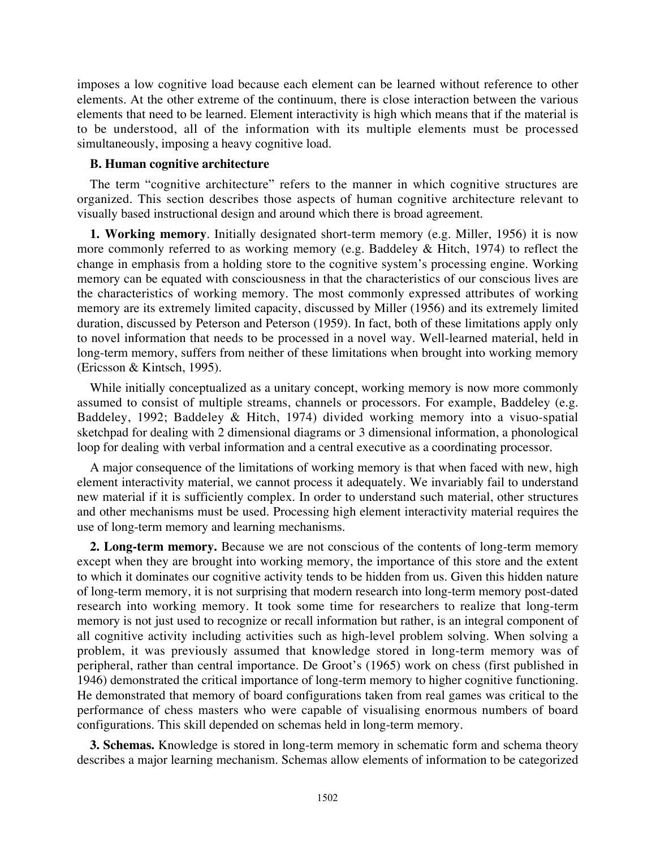imposes a low cognitive load because each element can be learned without reference to other elements. At the other extreme of the continuum, there is close interaction between the various elements that need to be learned. Element interactivity is high which means that if the material is to be understood, all of the information with its multiple elements must be processed simultaneously, imposing a heavy cognitive load.

## **B. Human cognitive architecture**

The term "cognitive architecture" refers to the manner in which cognitive structures are organized. This section describes those aspects of human cognitive architecture relevant to visually based instructional design and around which there is broad agreement.

**1. Working memory**. Initially designated short-term memory (e.g. Miller, 1956) it is now more commonly referred to as working memory (e.g. Baddeley & Hitch, 1974) to reflect the change in emphasis from a holding store to the cognitive system's processing engine. Working memory can be equated with consciousness in that the characteristics of our conscious lives are the characteristics of working memory. The most commonly expressed attributes of working memory are its extremely limited capacity, discussed by Miller (1956) and its extremely limited duration, discussed by Peterson and Peterson (1959). In fact, both of these limitations apply only to novel information that needs to be processed in a novel way. Well-learned material, held in long-term memory, suffers from neither of these limitations when brought into working memory (Ericsson & Kintsch, 1995).

While initially conceptualized as a unitary concept, working memory is now more commonly assumed to consist of multiple streams, channels or processors. For example, Baddeley (e.g. Baddeley, 1992; Baddeley & Hitch, 1974) divided working memory into a visuo-spatial sketchpad for dealing with 2 dimensional diagrams or 3 dimensional information, a phonological loop for dealing with verbal information and a central executive as a coordinating processor.

A major consequence of the limitations of working memory is that when faced with new, high element interactivity material, we cannot process it adequately. We invariably fail to understand new material if it is sufficiently complex. In order to understand such material, other structures and other mechanisms must be used. Processing high element interactivity material requires the use of long-term memory and learning mechanisms.

**2. Long-term memory.** Because we are not conscious of the contents of long-term memory except when they are brought into working memory, the importance of this store and the extent to which it dominates our cognitive activity tends to be hidden from us. Given this hidden nature of long-term memory, it is not surprising that modern research into long-term memory post-dated research into working memory. It took some time for researchers to realize that long-term memory is not just used to recognize or recall information but rather, is an integral component of all cognitive activity including activities such as high-level problem solving. When solving a problem, it was previously assumed that knowledge stored in long-term memory was of peripheral, rather than central importance. De Groot's (1965) work on chess (first published in 1946) demonstrated the critical importance of long-term memory to higher cognitive functioning. He demonstrated that memory of board configurations taken from real games was critical to the performance of chess masters who were capable of visualising enormous numbers of board configurations. This skill depended on schemas held in long-term memory.

**3. Schemas.** Knowledge is stored in long-term memory in schematic form and schema theory describes a major learning mechanism. Schemas allow elements of information to be categorized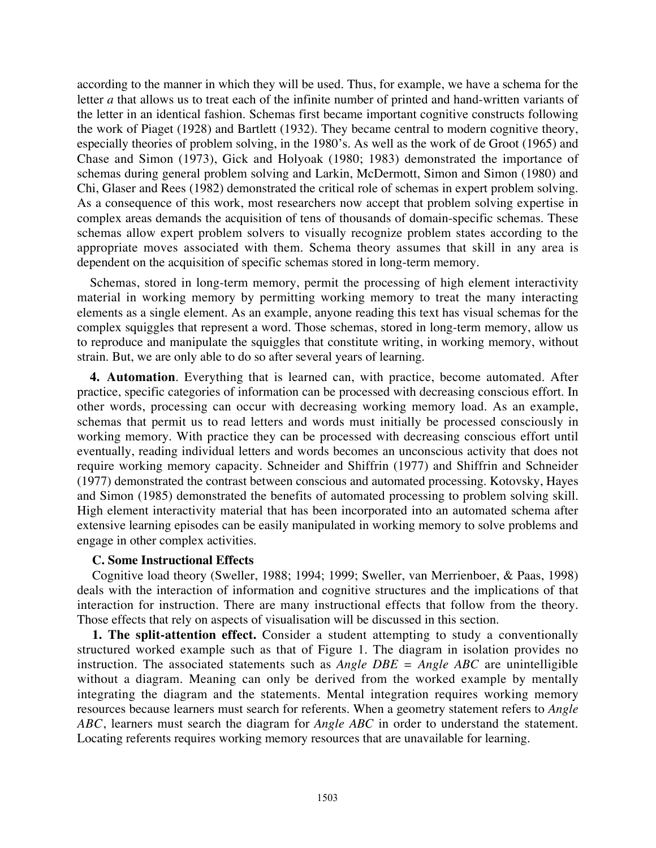according to the manner in which they will be used. Thus, for example, we have a schema for the letter *a* that allows us to treat each of the infinite number of printed and hand-written variants of the letter in an identical fashion. Schemas first became important cognitive constructs following the work of Piaget (1928) and Bartlett (1932). They became central to modern cognitive theory, especially theories of problem solving, in the 1980's. As well as the work of de Groot (1965) and Chase and Simon (1973), Gick and Holyoak (1980; 1983) demonstrated the importance of schemas during general problem solving and Larkin, McDermott, Simon and Simon (1980) and Chi, Glaser and Rees (1982) demonstrated the critical role of schemas in expert problem solving. As a consequence of this work, most researchers now accept that problem solving expertise in complex areas demands the acquisition of tens of thousands of domain-specific schemas. These schemas allow expert problem solvers to visually recognize problem states according to the appropriate moves associated with them. Schema theory assumes that skill in any area is dependent on the acquisition of specific schemas stored in long-term memory.

Schemas, stored in long-term memory, permit the processing of high element interactivity material in working memory by permitting working memory to treat the many interacting elements as a single element. As an example, anyone reading this text has visual schemas for the complex squiggles that represent a word. Those schemas, stored in long-term memory, allow us to reproduce and manipulate the squiggles that constitute writing, in working memory, without strain. But, we are only able to do so after several years of learning.

**4. Automation**. Everything that is learned can, with practice, become automated. After practice, specific categories of information can be processed with decreasing conscious effort. In other words, processing can occur with decreasing working memory load. As an example, schemas that permit us to read letters and words must initially be processed consciously in working memory. With practice they can be processed with decreasing conscious effort until eventually, reading individual letters and words becomes an unconscious activity that does not require working memory capacity. Schneider and Shiffrin (1977) and Shiffrin and Schneider (1977) demonstrated the contrast between conscious and automated processing. Kotovsky, Hayes and Simon (1985) demonstrated the benefits of automated processing to problem solving skill. High element interactivity material that has been incorporated into an automated schema after extensive learning episodes can be easily manipulated in working memory to solve problems and engage in other complex activities.

# **C. Some Instructional Effects**

Cognitive load theory (Sweller, 1988; 1994; 1999; Sweller, van Merrienboer, & Paas, 1998) deals with the interaction of information and cognitive structures and the implications of that interaction for instruction. There are many instructional effects that follow from the theory. Those effects that rely on aspects of visualisation will be discussed in this section.

**1. The split-attention effect.** Consider a student attempting to study a conventionally structured worked example such as that of Figure 1. The diagram in isolation provides no instruction. The associated statements such as *Angle DBE = Angle ABC* are unintelligible without a diagram. Meaning can only be derived from the worked example by mentally integrating the diagram and the statements. Mental integration requires working memory resources because learners must search for referents. When a geometry statement refers to *Angle ABC*, learners must search the diagram for *Angle ABC* in order to understand the statement. Locating referents requires working memory resources that are unavailable for learning.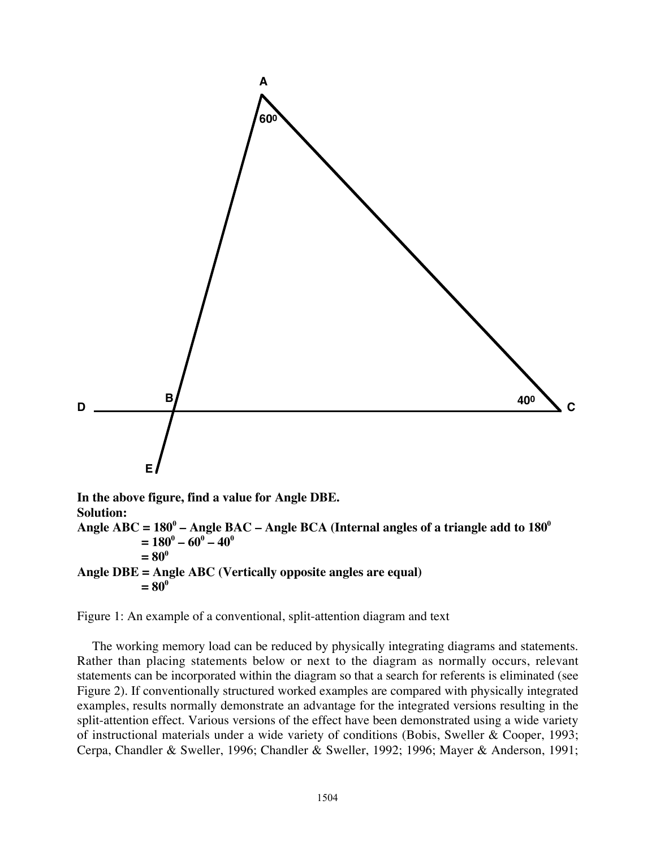

```
= 80^0
```

```
Angle DBE = Angle ABC (Vertically opposite angles are equal)
= 80^\circ
```
Figure 1: An example of a conventional, split-attention diagram and text

The working memory load can be reduced by physically integrating diagrams and statements. Rather than placing statements below or next to the diagram as normally occurs, relevant statements can be incorporated within the diagram so that a search for referents is eliminated (see Figure 2). If conventionally structured worked examples are compared with physically integrated examples, results normally demonstrate an advantage for the integrated versions resulting in the split-attention effect. Various versions of the effect have been demonstrated using a wide variety of instructional materials under a wide variety of conditions (Bobis, Sweller & Cooper, 1993; Cerpa, Chandler & Sweller, 1996; Chandler & Sweller, 1992; 1996; Mayer & Anderson, 1991;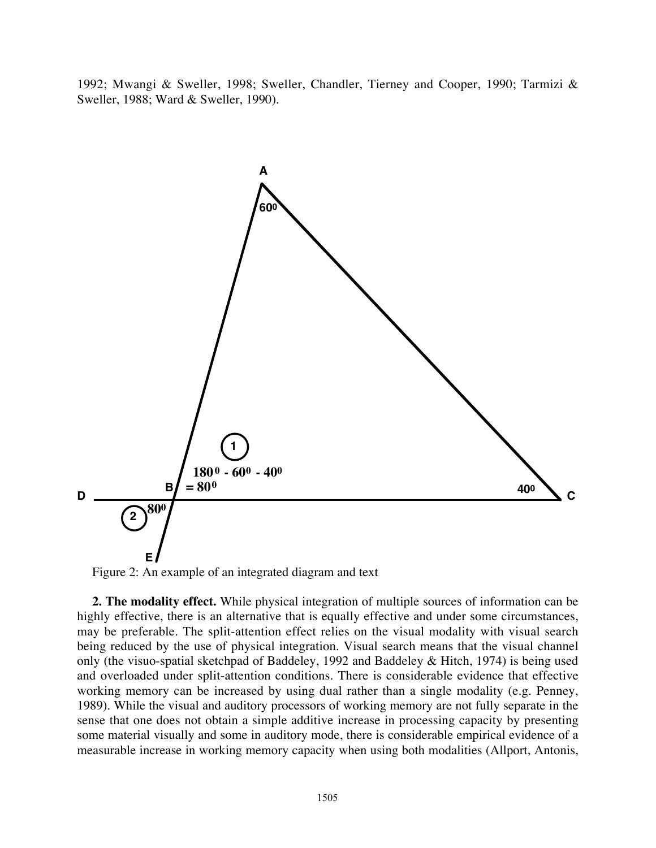1992; Mwangi & Sweller, 1998; Sweller, Chandler, Tierney and Cooper, 1990; Tarmizi & Sweller, 1988; Ward & Sweller, 1990).



Figure 2: An example of an integrated diagram and text

**2. The modality effect.** While physical integration of multiple sources of information can be highly effective, there is an alternative that is equally effective and under some circumstances, may be preferable. The split-attention effect relies on the visual modality with visual search being reduced by the use of physical integration. Visual search means that the visual channel only (the visuo-spatial sketchpad of Baddeley, 1992 and Baddeley & Hitch, 1974) is being used and overloaded under split-attention conditions. There is considerable evidence that effective working memory can be increased by using dual rather than a single modality (e.g. Penney, 1989). While the visual and auditory processors of working memory are not fully separate in the sense that one does not obtain a simple additive increase in processing capacity by presenting some material visually and some in auditory mode, there is considerable empirical evidence of a measurable increase in working memory capacity when using both modalities (Allport, Antonis,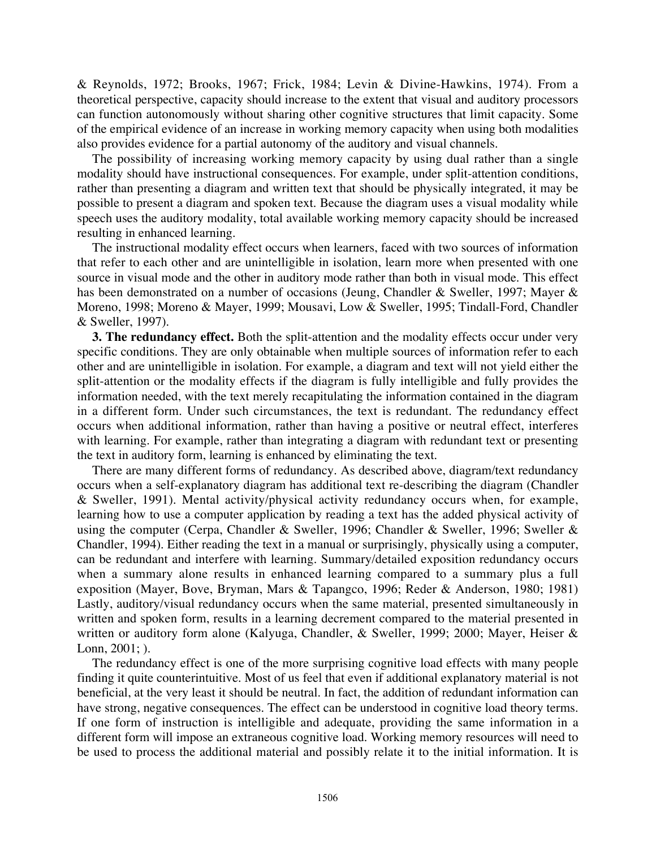& Reynolds, 1972; Brooks, 1967; Frick, 1984; Levin & Divine-Hawkins, 1974). From a theoretical perspective, capacity should increase to the extent that visual and auditory processors can function autonomously without sharing other cognitive structures that limit capacity. Some of the empirical evidence of an increase in working memory capacity when using both modalities also provides evidence for a partial autonomy of the auditory and visual channels.

The possibility of increasing working memory capacity by using dual rather than a single modality should have instructional consequences. For example, under split-attention conditions, rather than presenting a diagram and written text that should be physically integrated, it may be possible to present a diagram and spoken text. Because the diagram uses a visual modality while speech uses the auditory modality, total available working memory capacity should be increased resulting in enhanced learning.

The instructional modality effect occurs when learners, faced with two sources of information that refer to each other and are unintelligible in isolation, learn more when presented with one source in visual mode and the other in auditory mode rather than both in visual mode. This effect has been demonstrated on a number of occasions (Jeung, Chandler & Sweller, 1997; Mayer & Moreno, 1998; Moreno & Mayer, 1999; Mousavi, Low & Sweller, 1995; Tindall-Ford, Chandler & Sweller, 1997).

**3. The redundancy effect.** Both the split-attention and the modality effects occur under very specific conditions. They are only obtainable when multiple sources of information refer to each other and are unintelligible in isolation. For example, a diagram and text will not yield either the split-attention or the modality effects if the diagram is fully intelligible and fully provides the information needed, with the text merely recapitulating the information contained in the diagram in a different form. Under such circumstances, the text is redundant. The redundancy effect occurs when additional information, rather than having a positive or neutral effect, interferes with learning. For example, rather than integrating a diagram with redundant text or presenting the text in auditory form, learning is enhanced by eliminating the text.

There are many different forms of redundancy. As described above, diagram/text redundancy occurs when a self-explanatory diagram has additional text re-describing the diagram (Chandler & Sweller, 1991). Mental activity/physical activity redundancy occurs when, for example, learning how to use a computer application by reading a text has the added physical activity of using the computer (Cerpa, Chandler & Sweller, 1996; Chandler & Sweller, 1996; Sweller & Chandler, 1994). Either reading the text in a manual or surprisingly, physically using a computer, can be redundant and interfere with learning. Summary/detailed exposition redundancy occurs when a summary alone results in enhanced learning compared to a summary plus a full exposition (Mayer, Bove, Bryman, Mars & Tapangco, 1996; Reder & Anderson, 1980; 1981) Lastly, auditory/visual redundancy occurs when the same material, presented simultaneously in written and spoken form, results in a learning decrement compared to the material presented in written or auditory form alone (Kalyuga, Chandler, & Sweller, 1999; 2000; Mayer, Heiser & Lonn, 2001; ).

The redundancy effect is one of the more surprising cognitive load effects with many people finding it quite counterintuitive. Most of us feel that even if additional explanatory material is not beneficial, at the very least it should be neutral. In fact, the addition of redundant information can have strong, negative consequences. The effect can be understood in cognitive load theory terms. If one form of instruction is intelligible and adequate, providing the same information in a different form will impose an extraneous cognitive load. Working memory resources will need to be used to process the additional material and possibly relate it to the initial information. It is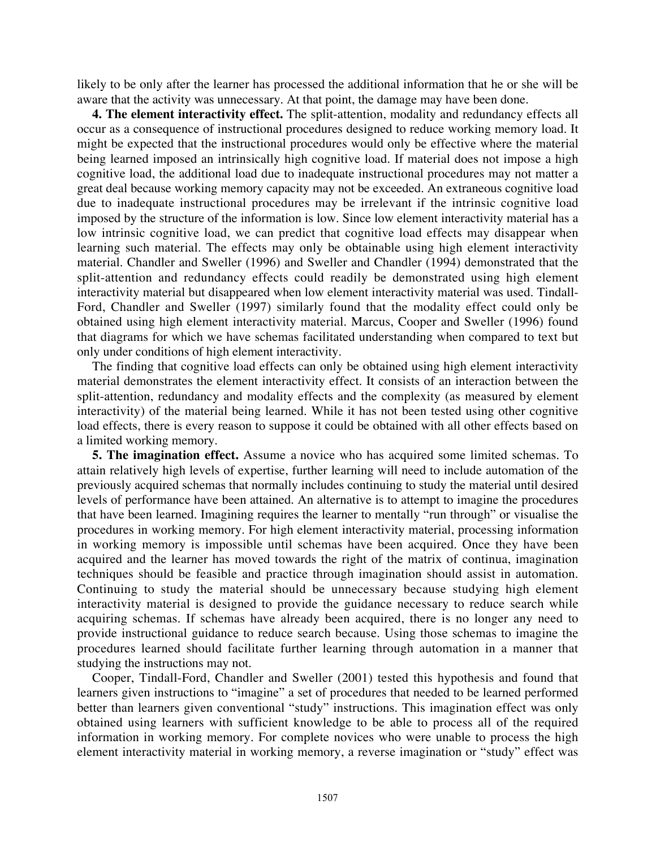likely to be only after the learner has processed the additional information that he or she will be aware that the activity was unnecessary. At that point, the damage may have been done.

**4. The element interactivity effect.** The split-attention, modality and redundancy effects all occur as a consequence of instructional procedures designed to reduce working memory load. It might be expected that the instructional procedures would only be effective where the material being learned imposed an intrinsically high cognitive load. If material does not impose a high cognitive load, the additional load due to inadequate instructional procedures may not matter a great deal because working memory capacity may not be exceeded. An extraneous cognitive load due to inadequate instructional procedures may be irrelevant if the intrinsic cognitive load imposed by the structure of the information is low. Since low element interactivity material has a low intrinsic cognitive load, we can predict that cognitive load effects may disappear when learning such material. The effects may only be obtainable using high element interactivity material. Chandler and Sweller (1996) and Sweller and Chandler (1994) demonstrated that the split-attention and redundancy effects could readily be demonstrated using high element interactivity material but disappeared when low element interactivity material was used. Tindall-Ford, Chandler and Sweller (1997) similarly found that the modality effect could only be obtained using high element interactivity material. Marcus, Cooper and Sweller (1996) found that diagrams for which we have schemas facilitated understanding when compared to text but only under conditions of high element interactivity.

The finding that cognitive load effects can only be obtained using high element interactivity material demonstrates the element interactivity effect. It consists of an interaction between the split-attention, redundancy and modality effects and the complexity (as measured by element interactivity) of the material being learned. While it has not been tested using other cognitive load effects, there is every reason to suppose it could be obtained with all other effects based on a limited working memory.

**5. The imagination effect.** Assume a novice who has acquired some limited schemas. To attain relatively high levels of expertise, further learning will need to include automation of the previously acquired schemas that normally includes continuing to study the material until desired levels of performance have been attained. An alternative is to attempt to imagine the procedures that have been learned. Imagining requires the learner to mentally "run through" or visualise the procedures in working memory. For high element interactivity material, processing information in working memory is impossible until schemas have been acquired. Once they have been acquired and the learner has moved towards the right of the matrix of continua, imagination techniques should be feasible and practice through imagination should assist in automation. Continuing to study the material should be unnecessary because studying high element interactivity material is designed to provide the guidance necessary to reduce search while acquiring schemas. If schemas have already been acquired, there is no longer any need to provide instructional guidance to reduce search because. Using those schemas to imagine the procedures learned should facilitate further learning through automation in a manner that studying the instructions may not.

Cooper, Tindall-Ford, Chandler and Sweller (2001) tested this hypothesis and found that learners given instructions to "imagine" a set of procedures that needed to be learned performed better than learners given conventional "study" instructions. This imagination effect was only obtained using learners with sufficient knowledge to be able to process all of the required information in working memory. For complete novices who were unable to process the high element interactivity material in working memory, a reverse imagination or "study" effect was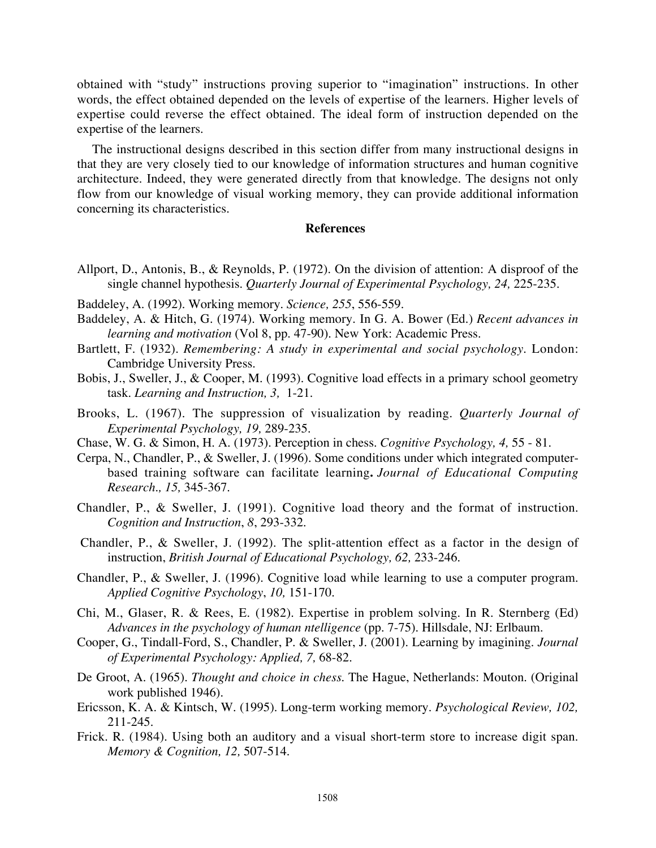obtained with "study" instructions proving superior to "imagination" instructions. In other words, the effect obtained depended on the levels of expertise of the learners. Higher levels of expertise could reverse the effect obtained. The ideal form of instruction depended on the expertise of the learners.

The instructional designs described in this section differ from many instructional designs in that they are very closely tied to our knowledge of information structures and human cognitive architecture. Indeed, they were generated directly from that knowledge. The designs not only flow from our knowledge of visual working memory, they can provide additional information concerning its characteristics.

# **References**

- Allport, D., Antonis, B., & Reynolds, P. (1972). On the division of attention: A disproof of the single channel hypothesis. *Quarterly Journal of Experimental Psychology, 24,* 225-235.
- Baddeley, A. (1992). Working memory. *Science, 255*, 556-559.
- Baddeley, A. & Hitch, G. (1974). Working memory. In G. A. Bower (Ed.) *Recent advances in learning and motivation* (Vol 8, pp. 47-90). New York: Academic Press.
- Bartlett, F. (1932). *Remembering: A study in experimental and social psychology.* London: Cambridge University Press.
- Bobis, J., Sweller, J., & Cooper, M. (1993). Cognitive load effects in a primary school geometry task. *Learning and Instruction, 3,* 1-21.
- Brooks, L. (1967). The suppression of visualization by reading. *Quarterly Journal of Experimental Psychology, 19,* 289-235.
- Chase, W. G. & Simon, H. A. (1973). Perception in chess. *Cognitive Psychology, 4,* 55 81.
- Cerpa, N., Chandler, P., & Sweller, J. (1996). Some conditions under which integrated computerbased training software can facilitate learning**.** *Journal of Educational Computing Research., 15,* 345-367.
- Chandler, P., & Sweller, J. (1991). Cognitive load theory and the format of instruction. *Cognition and Instruction*, *8*, 293-332.
- Chandler, P., & Sweller, J. (1992). The split-attention effect as a factor in the design of instruction, *British Journal of Educational Psychology, 62,* 233-246.
- Chandler, P., & Sweller, J. (1996). Cognitive load while learning to use a computer program. *Applied Cognitive Psychology*, *10,* 151-170.
- Chi, M., Glaser, R. & Rees, E. (1982). Expertise in problem solving. In R. Sternberg (Ed) *Advances in the psychology of human ntelligence* (pp. 7-75). Hillsdale, NJ: Erlbaum.
- Cooper, G., Tindall-Ford, S., Chandler, P. & Sweller, J. (2001). Learning by imagining. *Journal of Experimental Psychology: Applied, 7,* 68-82.
- De Groot, A. (1965). *Thought and choice in chess*. The Hague, Netherlands: Mouton. (Original work published 1946).
- Ericsson, K. A. & Kintsch, W. (1995). Long-term working memory. *Psychological Review, 102,* 211-245.
- Frick. R. (1984). Using both an auditory and a visual short-term store to increase digit span. *Memory & Cognition, 12,* 507-514.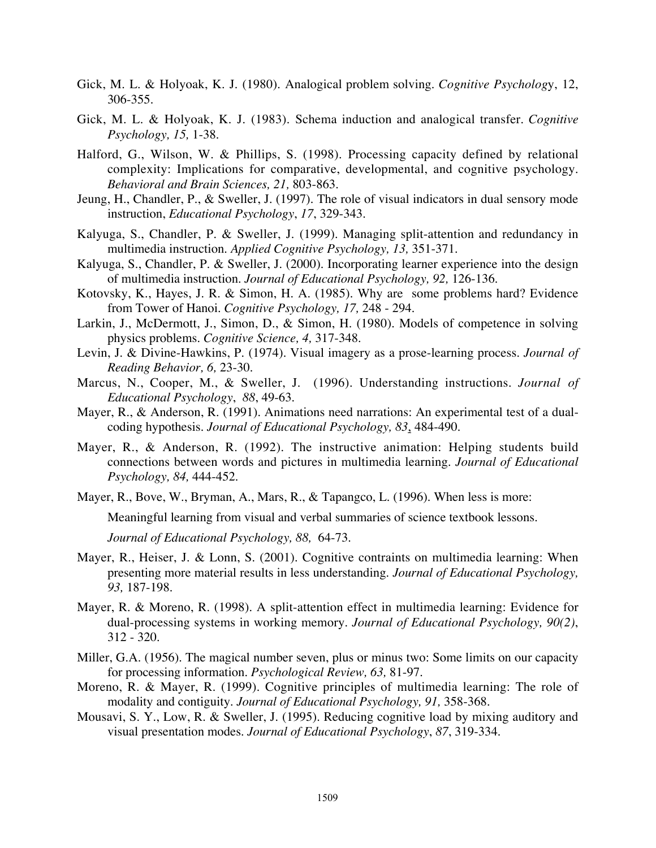- Gick, M. L. & Holyoak, K. J. (1980). Analogical problem solving. *Cognitive Psycholog*y, 12, 306-355.
- Gick, M. L. & Holyoak, K. J. (1983). Schema induction and analogical transfer. *Cognitive Psychology, 15,* 1-38.
- Halford, G., Wilson, W. & Phillips, S. (1998). Processing capacity defined by relational complexity: Implications for comparative, developmental, and cognitive psychology. *Behavioral and Brain Sciences, 21,* 803-863.
- Jeung, H., Chandler, P., & Sweller, J. (1997). The role of visual indicators in dual sensory mode instruction, *Educational Psychology*, *17*, 329-343.
- Kalyuga, S., Chandler, P. & Sweller, J. (1999). Managing split-attention and redundancy in multimedia instruction. *Applied Cognitive Psychology, 13,* 351-371.
- Kalyuga, S., Chandler, P. & Sweller, J. (2000). Incorporating learner experience into the design of multimedia instruction. *Journal of Educational Psychology, 92,* 126-136.
- Kotovsky, K., Hayes, J. R. & Simon, H. A. (1985). Why are some problems hard? Evidence from Tower of Hanoi. *Cognitive Psychology, 17,* 248 - 294.
- Larkin, J., McDermott, J., Simon, D., & Simon, H. (1980). Models of competence in solving physics problems. *Cognitive Science, 4,* 317-348.
- Levin, J. & Divine-Hawkins, P. (1974). Visual imagery as a prose-learning process. *Journal of Reading Behavior, 6,* 23-30.
- Marcus, N., Cooper, M., & Sweller, J. (1996). Understanding instructions. *Journal of Educational Psychology*, *88*, 49-63.
- Mayer, R., & Anderson, R. (1991). Animations need narrations: An experimental test of a dualcoding hypothesis. *Journal of Educational Psychology, 83*, 484-490.
- Mayer, R., & Anderson, R. (1992). The instructive animation: Helping students build connections between words and pictures in multimedia learning*. Journal of Educational Psychology, 84,* 444-452.
- Mayer, R., Bove, W., Bryman, A., Mars, R., & Tapangco, L. (1996). When less is more:

Meaningful learning from visual and verbal summaries of science textbook lessons.

*Journal of Educational Psychology, 88,* 64-73.

- Mayer, R., Heiser, J. & Lonn, S. (2001). Cognitive contraints on multimedia learning: When presenting more material results in less understanding. *Journal of Educational Psychology, 93,* 187-198.
- Mayer, R. & Moreno, R. (1998). A split-attention effect in multimedia learning: Evidence for dual-processing systems in working memory. *Journal of Educational Psychology, 90(2)*, 312 - 320.
- Miller, G.A. (1956). The magical number seven, plus or minus two: Some limits on our capacity for processing information. *Psychological Review, 63,* 81-97.
- Moreno, R. & Mayer, R. (1999). Cognitive principles of multimedia learning: The role of modality and contiguity. *Journal of Educational Psychology, 91,* 358-368.
- Mousavi, S. Y., Low, R. & Sweller, J. (1995). Reducing cognitive load by mixing auditory and visual presentation modes. *Journal of Educational Psychology*, *87*, 319-334.